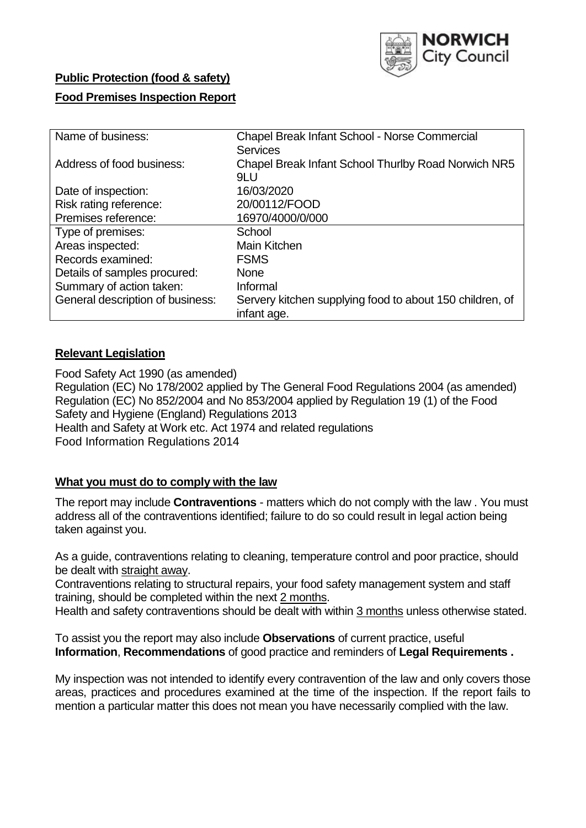

# **Public Protection (food & safety) Food Premises Inspection Report**

| Name of business:                | <b>Chapel Break Infant School - Norse Commercial</b>     |  |  |  |  |  |
|----------------------------------|----------------------------------------------------------|--|--|--|--|--|
|                                  | <b>Services</b>                                          |  |  |  |  |  |
| Address of food business:        | Chapel Break Infant School Thurlby Road Norwich NR5      |  |  |  |  |  |
|                                  | 9LU                                                      |  |  |  |  |  |
| Date of inspection:              | 16/03/2020                                               |  |  |  |  |  |
| Risk rating reference:           | 20/00112/FOOD                                            |  |  |  |  |  |
| Premises reference:              | 16970/4000/0/000                                         |  |  |  |  |  |
| Type of premises:                | School                                                   |  |  |  |  |  |
| Areas inspected:                 | Main Kitchen                                             |  |  |  |  |  |
| Records examined:                | <b>FSMS</b>                                              |  |  |  |  |  |
| Details of samples procured:     | <b>None</b>                                              |  |  |  |  |  |
| Summary of action taken:         | Informal                                                 |  |  |  |  |  |
| General description of business: | Servery kitchen supplying food to about 150 children, of |  |  |  |  |  |
|                                  | infant age.                                              |  |  |  |  |  |

# **Relevant Legislation**

Food Safety Act 1990 (as amended) Regulation (EC) No 178/2002 applied by The General Food Regulations 2004 (as amended) Regulation (EC) No 852/2004 and No 853/2004 applied by Regulation 19 (1) of the Food Safety and Hygiene (England) Regulations 2013 Health and Safety at Work etc. Act 1974 and related regulations Food Information Regulations 2014

# **What you must do to comply with the law**

The report may include **Contraventions** - matters which do not comply with the law . You must address all of the contraventions identified; failure to do so could result in legal action being taken against you.

As a guide, contraventions relating to cleaning, temperature control and poor practice, should be dealt with straight away.

Contraventions relating to structural repairs, your food safety management system and staff training, should be completed within the next 2 months.

Health and safety contraventions should be dealt with within 3 months unless otherwise stated.

To assist you the report may also include **Observations** of current practice, useful **Information**, **Recommendations** of good practice and reminders of **Legal Requirements .**

My inspection was not intended to identify every contravention of the law and only covers those areas, practices and procedures examined at the time of the inspection. If the report fails to mention a particular matter this does not mean you have necessarily complied with the law.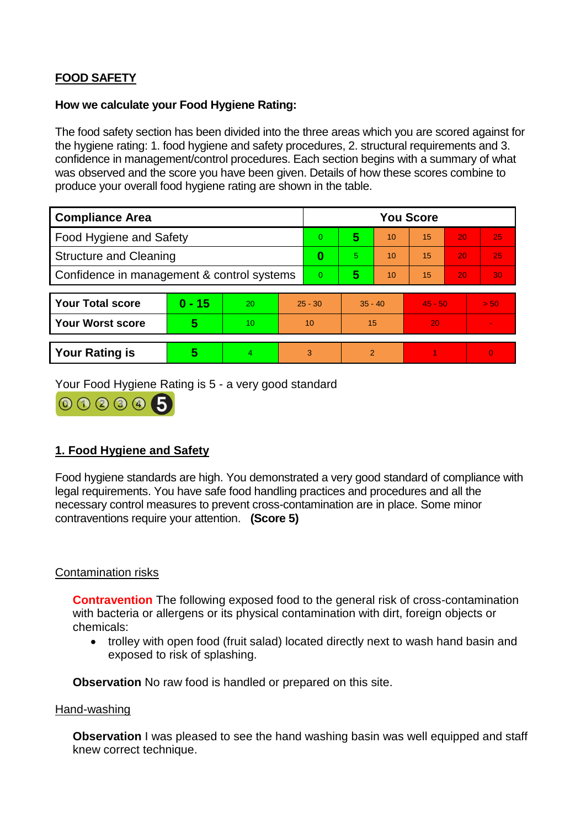# **FOOD SAFETY**

### **How we calculate your Food Hygiene Rating:**

The food safety section has been divided into the three areas which you are scored against for the hygiene rating: 1. food hygiene and safety procedures, 2. structural requirements and 3. confidence in management/control procedures. Each section begins with a summary of what was observed and the score you have been given. Details of how these scores combine to produce your overall food hygiene rating are shown in the table.

| <b>Compliance Area</b>                     |          |    |           | <b>You Score</b> |           |    |           |    |                |  |  |
|--------------------------------------------|----------|----|-----------|------------------|-----------|----|-----------|----|----------------|--|--|
| Food Hygiene and Safety                    |          |    | $\Omega$  | 5                | 10        | 15 | 20        | 25 |                |  |  |
| <b>Structure and Cleaning</b>              |          |    | 0         | 5                | 10        | 15 | 20        | 25 |                |  |  |
| Confidence in management & control systems |          |    | $\Omega$  | 5                | 10        | 15 | 20        | 30 |                |  |  |
|                                            |          |    |           |                  |           |    |           |    |                |  |  |
| <b>Your Total score</b>                    | $0 - 15$ | 20 | $25 - 30$ |                  | $35 - 40$ |    | $45 - 50$ |    | > 50           |  |  |
| <b>Your Worst score</b>                    | 5        | 10 | 10        |                  | 15        |    | 20        |    | $\blacksquare$ |  |  |
|                                            |          |    |           |                  |           |    |           |    |                |  |  |
| <b>Your Rating is</b>                      | 5        | 4. | 3         |                  | 2         |    |           |    | $\overline{0}$ |  |  |

Your Food Hygiene Rating is 5 - a very good standard



# **1. Food Hygiene and Safety**

Food hygiene standards are high. You demonstrated a very good standard of compliance with legal requirements. You have safe food handling practices and procedures and all the necessary control measures to prevent cross-contamination are in place. Some minor contraventions require your attention. **(Score 5)**

# Contamination risks

**Contravention** The following exposed food to the general risk of cross-contamination with bacteria or allergens or its physical contamination with dirt, foreign objects or chemicals:

 trolley with open food (fruit salad) located directly next to wash hand basin and exposed to risk of splashing.

**Observation** No raw food is handled or prepared on this site.

#### Hand-washing

**Observation** I was pleased to see the hand washing basin was well equipped and staff knew correct technique.